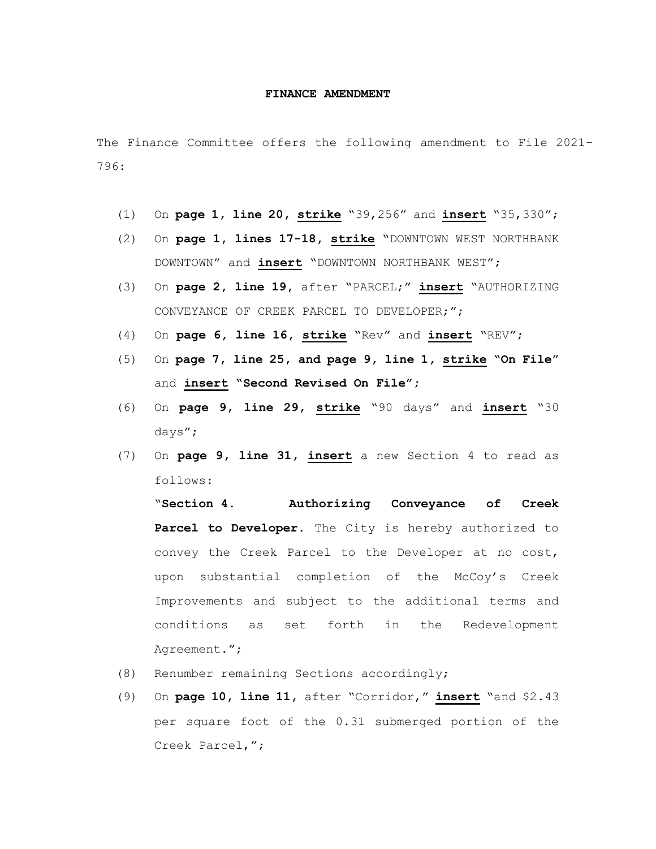## **FINANCE AMENDMENT**

The Finance Committee offers the following amendment to File 2021- 796:

- (1) On **page 1, line 20, strike** "39,256" and **insert** "35,330";
- (2) On **page 1, lines 17-18, strike** "DOWNTOWN WEST NORTHBANK DOWNTOWN" and **insert** "DOWNTOWN NORTHBANK WEST";
- (3) On **page 2, line 19,** after "PARCEL;" **insert** "AUTHORIZING CONVEYANCE OF CREEK PARCEL TO DEVELOPER;";
- (4) On **page 6, line 16, strike** "Rev" and **insert** "REV";
- (5) On **page 7, line 25, and page 9, line 1, strike "On File"**  and **insert "Second Revised On File";**
- (6) On **page 9, line 29, strike** "90 days" and **insert** "30 days";
- (7) On **page 9, line 31, insert** a new Section 4 to read as follows:

"**Section 4. Authorizing Conveyance of Creek Parcel to Developer.** The City is hereby authorized to convey the Creek Parcel to the Developer at no cost, upon substantial completion of the McCoy's Creek Improvements and subject to the additional terms and conditions as set forth in the Redevelopment Agreement.";

- (8) Renumber remaining Sections accordingly;
- (9) On **page 10, line 11,** after "Corridor," **insert** "and \$2.43 per square foot of the 0.31 submerged portion of the Creek Parcel,";